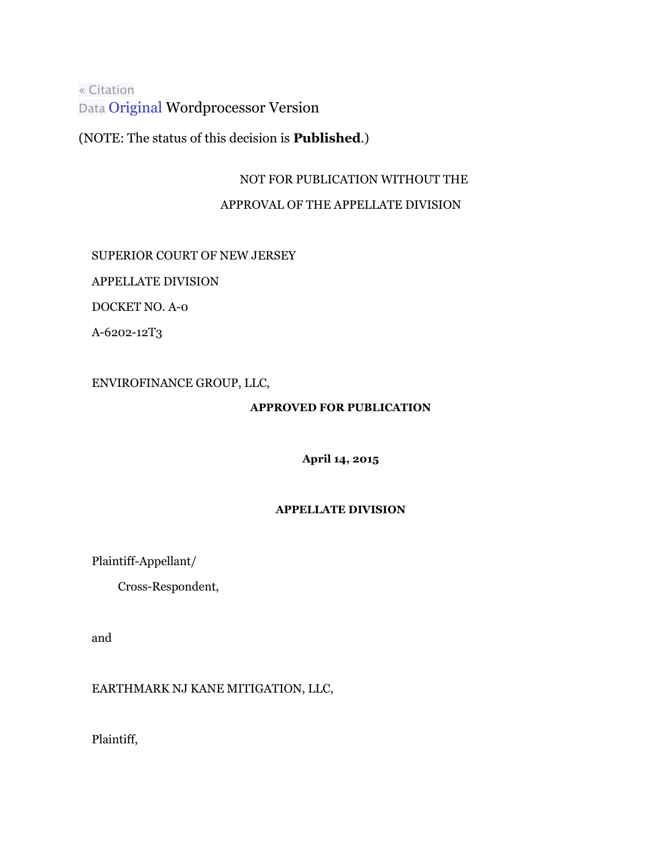[« Citation](http://lawlibrary.rutgers.edu/cgi-bin/citation.cgi?file=/collections/courts/appellate/a2475-12.opn.html) [Data](http://lawlibrary.rutgers.edu/cgi-bin/citation.cgi?file=/collections/courts/appellate/a2475-12.opn.html) [Original](http://njlaw.rutgers.edu/collections/courts/wordperfect/appellate/a2475-12.doc) Wordprocessor Version

(NOTE: The status of this decision is **Published**.)

## NOT FOR PUBLICATION WITHOUT THE

## APPROVAL OF THE APPELLATE DIVISION

# SUPERIOR COURT OF NEW JERSEY

APPELLATE DIVISION

DOCKET NO. A-0

A-6202-12T3

ENVIROFINANCE GROUP, LLC,

## **APPROVED FOR PUBLICATION**

**April 14, 2015**

## **APPELLATE DIVISION**

Plaintiff-Appellant/

Cross-Respondent,

and

## EARTHMARK NJ KANE MITIGATION, LLC,

Plaintiff,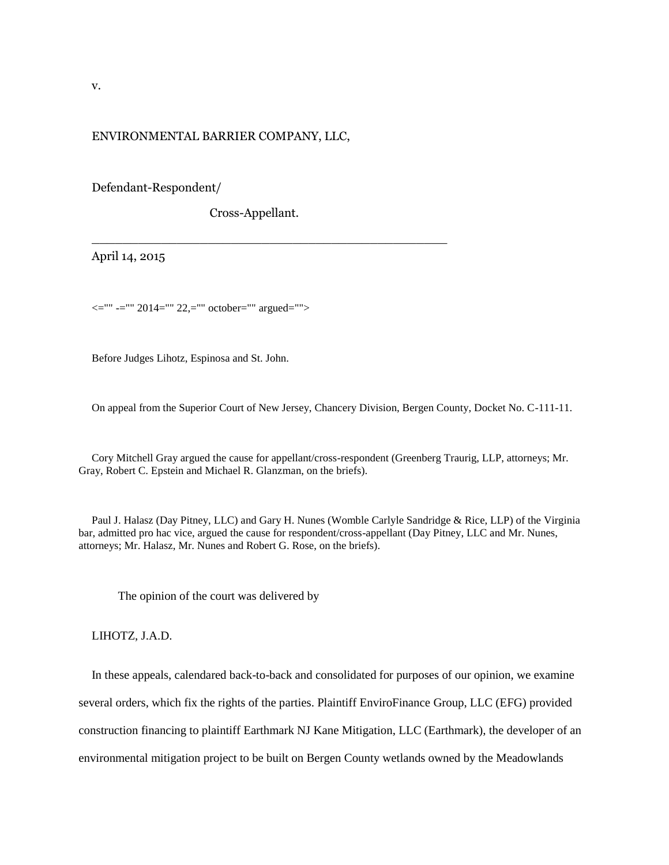### ENVIRONMENTAL BARRIER COMPANY, LLC,

Defendant-Respondent/

Cross-Appellant.

\_\_\_\_\_\_\_\_\_\_\_\_\_\_\_\_\_\_\_\_\_\_\_\_\_\_\_\_\_\_\_\_\_\_\_\_\_\_\_\_\_\_\_\_\_\_

April 14, 2015

 $\le$ ="" -="" 2014="" 22,="" october="" argued="">

Before Judges Lihotz, Espinosa and St. John.

On appeal from the Superior Court of New Jersey, Chancery Division, Bergen County, Docket No. C-111-11.

Cory Mitchell Gray argued the cause for appellant/cross-respondent (Greenberg Traurig, LLP, attorneys; Mr. Gray, Robert C. Epstein and Michael R. Glanzman, on the briefs).

Paul J. Halasz (Day Pitney, LLC) and Gary H. Nunes (Womble Carlyle Sandridge & Rice, LLP) of the Virginia bar, admitted pro hac vice, argued the cause for respondent/cross-appellant (Day Pitney, LLC and Mr. Nunes, attorneys; Mr. Halasz, Mr. Nunes and Robert G. Rose, on the briefs).

The opinion of the court was delivered by

LIHOTZ, J.A.D.

In these appeals, calendared back-to-back and consolidated for purposes of our opinion, we examine several orders, which fix the rights of the parties. Plaintiff EnviroFinance Group, LLC (EFG) provided construction financing to plaintiff Earthmark NJ Kane Mitigation, LLC (Earthmark), the developer of an environmental mitigation project to be built on Bergen County wetlands owned by the Meadowlands

v.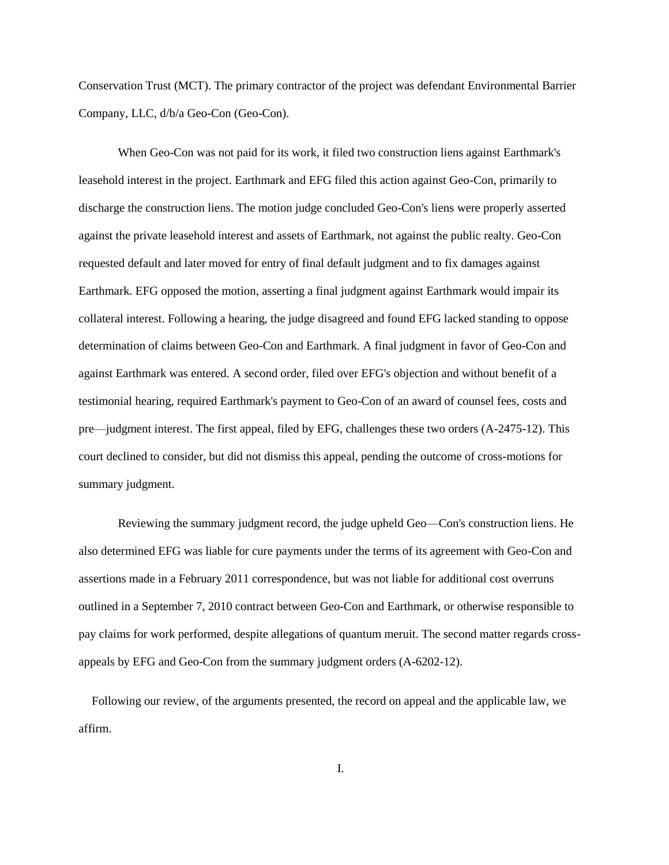Conservation Trust (MCT). The primary contractor of the project was defendant Environmental Barrier Company, LLC, d/b/a Geo-Con (Geo-Con).

When Geo-Con was not paid for its work, it filed two construction liens against Earthmark's leasehold interest in the project. Earthmark and EFG filed this action against Geo-Con, primarily to discharge the construction liens. The motion judge concluded Geo-Con's liens were properly asserted against the private leasehold interest and assets of Earthmark, not against the public realty. Geo-Con requested default and later moved for entry of final default judgment and to fix damages against Earthmark. EFG opposed the motion, asserting a final judgment against Earthmark would impair its collateral interest. Following a hearing, the judge disagreed and found EFG lacked standing to oppose determination of claims between Geo-Con and Earthmark. A final judgment in favor of Geo-Con and against Earthmark was entered. A second order, filed over EFG's objection and without benefit of a testimonial hearing, required Earthmark's payment to Geo-Con of an award of counsel fees, costs and pre—judgment interest. The first appeal, filed by EFG, challenges these two orders (A-2475-12). This court declined to consider, but did not dismiss this appeal, pending the outcome of cross-motions for summary judgment.

Reviewing the summary judgment record, the judge upheld Geo—Con's construction liens. He also determined EFG was liable for cure payments under the terms of its agreement with Geo-Con and assertions made in a February 2011 correspondence, but was not liable for additional cost overruns outlined in a September 7, 2010 contract between Geo-Con and Earthmark, or otherwise responsible to pay claims for work performed, despite allegations of quantum meruit. The second matter regards crossappeals by EFG and Geo-Con from the summary judgment orders (A-6202-12).

Following our review, of the arguments presented, the record on appeal and the applicable law, we affirm.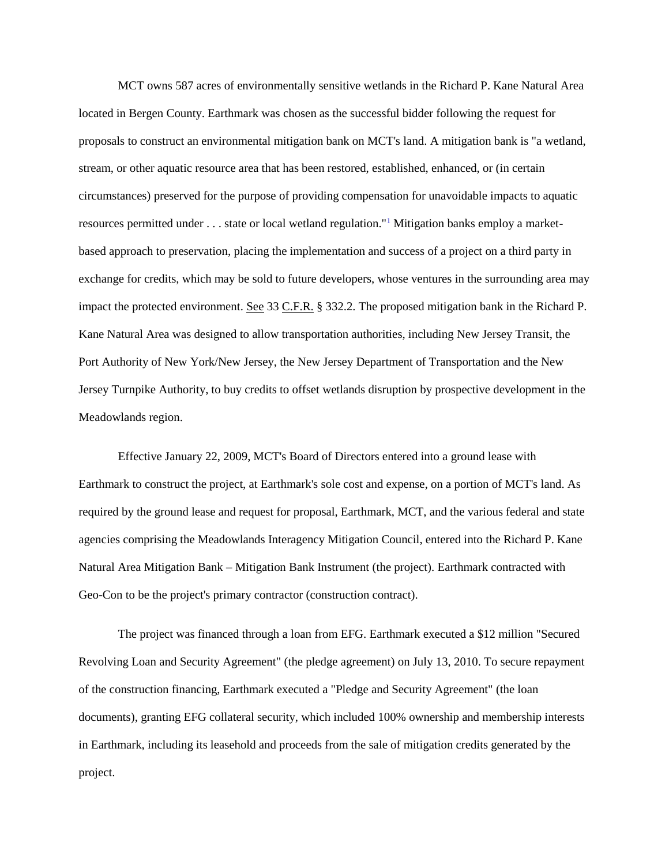MCT owns 587 acres of environmentally sensitive wetlands in the Richard P. Kane Natural Area located in Bergen County. Earthmark was chosen as the successful bidder following the request for proposals to construct an environmental mitigation bank on MCT's land. A mitigation bank is "a wetland, stream, or other aquatic resource area that has been restored, established, enhanced, or (in certain circumstances) preserved for the purpose of providing compensation for unavoidable impacts to aquatic resources permitted under . . . state or local wetland regulation."[1](http://njlaw.rutgers.edu/collections/courts/appellate/a2475-12.opn.html#sdfootnote1sym) Mitigation banks employ a marketbased approach to preservation, placing the implementation and success of a project on a third party in exchange for credits, which may be sold to future developers, whose ventures in the surrounding area may impact the protected environment. See 33 C.F.R. § 332.2. The proposed mitigation bank in the Richard P. Kane Natural Area was designed to allow transportation authorities, including New Jersey Transit, the Port Authority of New York/New Jersey, the New Jersey Department of Transportation and the New Jersey Turnpike Authority, to buy credits to offset wetlands disruption by prospective development in the Meadowlands region.

Effective January 22, 2009, MCT's Board of Directors entered into a ground lease with Earthmark to construct the project, at Earthmark's sole cost and expense, on a portion of MCT's land. As required by the ground lease and request for proposal, Earthmark, MCT, and the various federal and state agencies comprising the Meadowlands Interagency Mitigation Council, entered into the Richard P. Kane Natural Area Mitigation Bank – Mitigation Bank Instrument (the project). Earthmark contracted with Geo-Con to be the project's primary contractor (construction contract).

The project was financed through a loan from EFG. Earthmark executed a \$12 million "Secured Revolving Loan and Security Agreement" (the pledge agreement) on July 13, 2010. To secure repayment of the construction financing, Earthmark executed a "Pledge and Security Agreement" (the loan documents), granting EFG collateral security, which included 100% ownership and membership interests in Earthmark, including its leasehold and proceeds from the sale of mitigation credits generated by the project.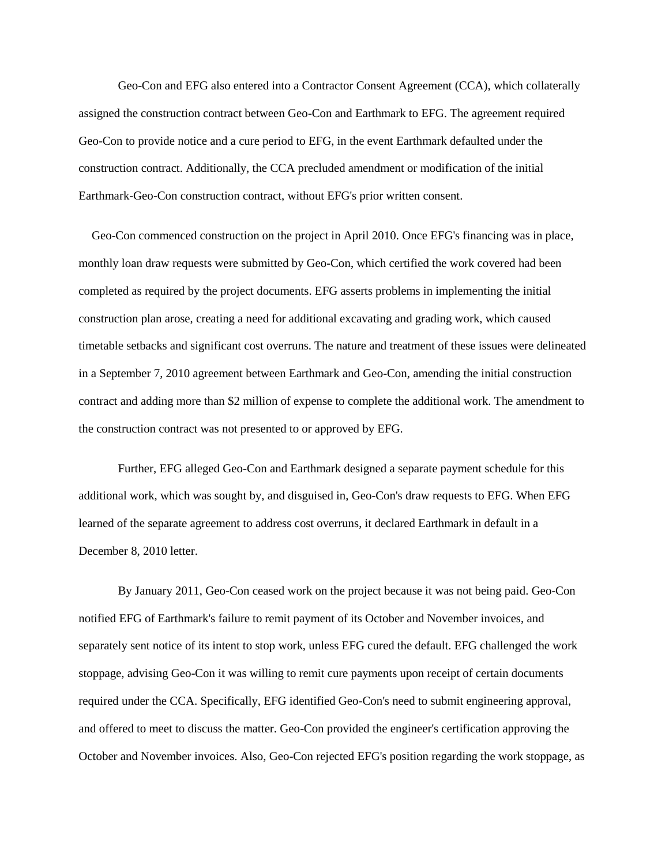Geo-Con and EFG also entered into a Contractor Consent Agreement (CCA), which collaterally assigned the construction contract between Geo-Con and Earthmark to EFG. The agreement required Geo-Con to provide notice and a cure period to EFG, in the event Earthmark defaulted under the construction contract. Additionally, the CCA precluded amendment or modification of the initial Earthmark-Geo-Con construction contract, without EFG's prior written consent.

Geo-Con commenced construction on the project in April 2010. Once EFG's financing was in place, monthly loan draw requests were submitted by Geo-Con, which certified the work covered had been completed as required by the project documents. EFG asserts problems in implementing the initial construction plan arose, creating a need for additional excavating and grading work, which caused timetable setbacks and significant cost overruns. The nature and treatment of these issues were delineated in a September 7, 2010 agreement between Earthmark and Geo-Con, amending the initial construction contract and adding more than \$2 million of expense to complete the additional work. The amendment to the construction contract was not presented to or approved by EFG.

Further, EFG alleged Geo-Con and Earthmark designed a separate payment schedule for this additional work, which was sought by, and disguised in, Geo-Con's draw requests to EFG. When EFG learned of the separate agreement to address cost overruns, it declared Earthmark in default in a December 8, 2010 letter.

By January 2011, Geo-Con ceased work on the project because it was not being paid. Geo-Con notified EFG of Earthmark's failure to remit payment of its October and November invoices, and separately sent notice of its intent to stop work, unless EFG cured the default. EFG challenged the work stoppage, advising Geo-Con it was willing to remit cure payments upon receipt of certain documents required under the CCA. Specifically, EFG identified Geo-Con's need to submit engineering approval, and offered to meet to discuss the matter. Geo-Con provided the engineer's certification approving the October and November invoices. Also, Geo-Con rejected EFG's position regarding the work stoppage, as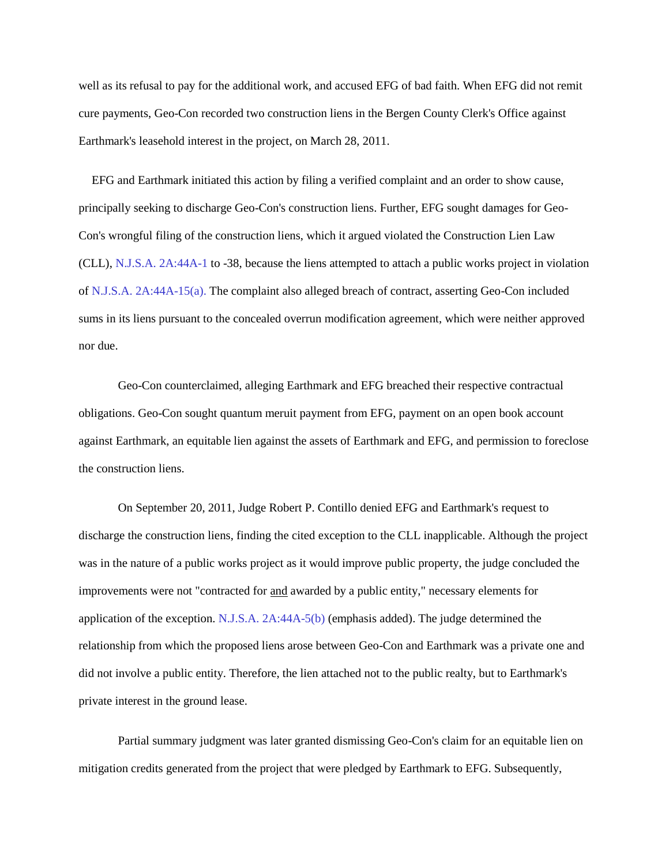well as its refusal to pay for the additional work, and accused EFG of bad faith. When EFG did not remit cure payments, Geo-Con recorded two construction liens in the Bergen County Clerk's Office against Earthmark's leasehold interest in the project, on March 28, 2011.

EFG and Earthmark initiated this action by filing a verified complaint and an order to show cause, principally seeking to discharge Geo-Con's construction liens. Further, EFG sought damages for Geo-Con's wrongful filing of the construction liens, which it argued violated the Construction Lien Law (CLL), [N.J.S.A.](http://njlaw.rutgers.edu/cgi-bin/njstats/showsect.cgi?title=2A&chapter=44A§ion=1&actn=getsect) [2A:44A-1 t](http://njlaw.rutgers.edu/cgi-bin/njstats/showsect.cgi?title=2A&chapter=44A§ion=1&actn=getsect)o -38, because the liens attempted to attach a public works project in violation of [N.J.S.A.](http://njlaw.rutgers.edu/cgi-bin/njstats/showsect.cgi?title=2A&chapter=44A§ion=15&actn=getsect) [2A:44A-15\(a\). T](http://njlaw.rutgers.edu/cgi-bin/njstats/showsect.cgi?title=2A&chapter=44A§ion=15&actn=getsect)he complaint also alleged breach of contract, asserting Geo-Con included sums in its liens pursuant to the concealed overrun modification agreement, which were neither approved nor due.

Geo-Con counterclaimed, alleging Earthmark and EFG breached their respective contractual obligations. Geo-Con sought quantum meruit payment from EFG, payment on an open book account against Earthmark, an equitable lien against the assets of Earthmark and EFG, and permission to foreclose the construction liens.

On September 20, 2011, Judge Robert P. Contillo denied EFG and Earthmark's request to discharge the construction liens, finding the cited exception to the CLL inapplicable. Although the project was in the nature of a public works project as it would improve public property, the judge concluded the improvements were not "contracted for and awarded by a public entity," necessary elements for application of the exception. [N.J.S.A.](http://njlaw.rutgers.edu/cgi-bin/njstats/showsect.cgi?title=2A&chapter=44A§ion=5&actn=getsect) [2A:44A-5\(b\) \(](http://njlaw.rutgers.edu/cgi-bin/njstats/showsect.cgi?title=2A&chapter=44A§ion=5&actn=getsect)emphasis added). The judge determined the relationship from which the proposed liens arose between Geo-Con and Earthmark was a private one and did not involve a public entity. Therefore, the lien attached not to the public realty, but to Earthmark's private interest in the ground lease.

Partial summary judgment was later granted dismissing Geo-Con's claim for an equitable lien on mitigation credits generated from the project that were pledged by Earthmark to EFG. Subsequently,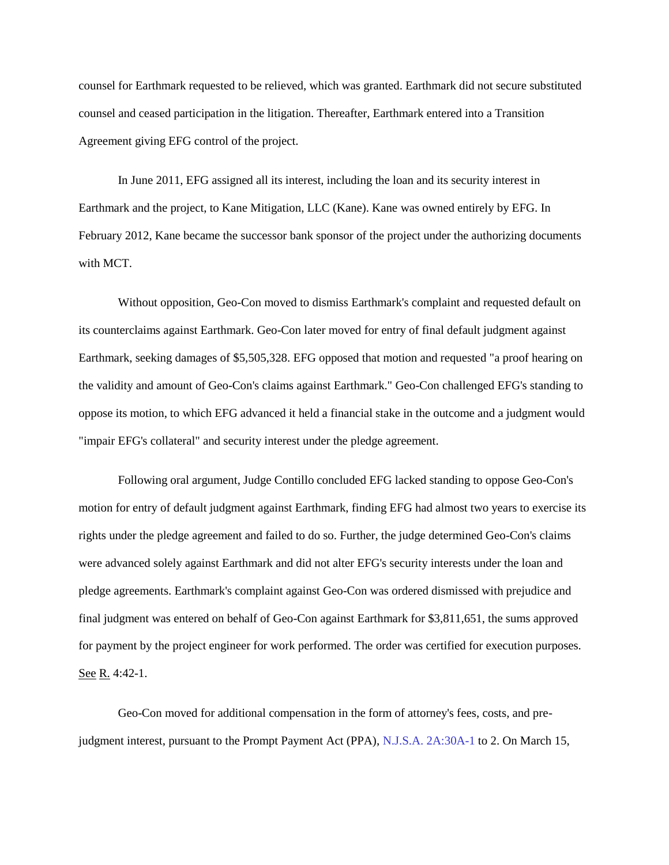counsel for Earthmark requested to be relieved, which was granted. Earthmark did not secure substituted counsel and ceased participation in the litigation. Thereafter, Earthmark entered into a Transition Agreement giving EFG control of the project.

In June 2011, EFG assigned all its interest, including the loan and its security interest in Earthmark and the project, to Kane Mitigation, LLC (Kane). Kane was owned entirely by EFG. In February 2012, Kane became the successor bank sponsor of the project under the authorizing documents with MCT.

Without opposition, Geo-Con moved to dismiss Earthmark's complaint and requested default on its counterclaims against Earthmark. Geo-Con later moved for entry of final default judgment against Earthmark, seeking damages of \$5,505,328. EFG opposed that motion and requested "a proof hearing on the validity and amount of Geo-Con's claims against Earthmark." Geo-Con challenged EFG's standing to oppose its motion, to which EFG advanced it held a financial stake in the outcome and a judgment would "impair EFG's collateral" and security interest under the pledge agreement.

Following oral argument, Judge Contillo concluded EFG lacked standing to oppose Geo-Con's motion for entry of default judgment against Earthmark, finding EFG had almost two years to exercise its rights under the pledge agreement and failed to do so. Further, the judge determined Geo-Con's claims were advanced solely against Earthmark and did not alter EFG's security interests under the loan and pledge agreements. Earthmark's complaint against Geo-Con was ordered dismissed with prejudice and final judgment was entered on behalf of Geo-Con against Earthmark for \$3,811,651, the sums approved for payment by the project engineer for work performed. The order was certified for execution purposes. See R. 4:42-1.

Geo-Con moved for additional compensation in the form of attorney's fees, costs, and prejudgment interest, pursuant to the Prompt Payment Act (PPA), [N.J.S.A.](http://njlaw.rutgers.edu/cgi-bin/njstats/showsect.cgi?title=2A&chapter=30A§ion=1&actn=getsect) [2A:30A-1 t](http://njlaw.rutgers.edu/cgi-bin/njstats/showsect.cgi?title=2A&chapter=30A§ion=1&actn=getsect)o 2. On March 15,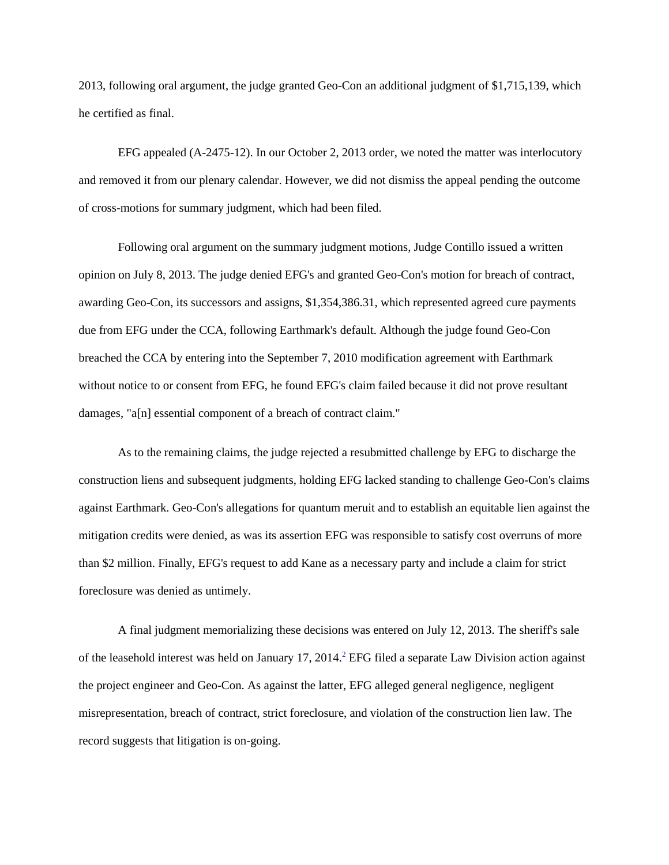2013, following oral argument, the judge granted Geo-Con an additional judgment of \$1,715,139, which he certified as final.

EFG appealed (A-2475-12). In our October 2, 2013 order, we noted the matter was interlocutory and removed it from our plenary calendar. However, we did not dismiss the appeal pending the outcome of cross-motions for summary judgment, which had been filed.

Following oral argument on the summary judgment motions, Judge Contillo issued a written opinion on July 8, 2013. The judge denied EFG's and granted Geo-Con's motion for breach of contract, awarding Geo-Con, its successors and assigns, \$1,354,386.31, which represented agreed cure payments due from EFG under the CCA, following Earthmark's default. Although the judge found Geo-Con breached the CCA by entering into the September 7, 2010 modification agreement with Earthmark without notice to or consent from EFG, he found EFG's claim failed because it did not prove resultant damages, "a[n] essential component of a breach of contract claim."

As to the remaining claims, the judge rejected a resubmitted challenge by EFG to discharge the construction liens and subsequent judgments, holding EFG lacked standing to challenge Geo-Con's claims against Earthmark. Geo-Con's allegations for quantum meruit and to establish an equitable lien against the mitigation credits were denied, as was its assertion EFG was responsible to satisfy cost overruns of more than \$2 million. Finally, EFG's request to add Kane as a necessary party and include a claim for strict foreclosure was denied as untimely.

A final judgment memorializing these decisions was entered on July 12, 2013. The sheriff's sale of the leasehold interest was held on January 17, [2](http://njlaw.rutgers.edu/collections/courts/appellate/a2475-12.opn.html#sdfootnote2sym)014.<sup>2</sup> EFG filed a separate Law Division action against the project engineer and Geo-Con. As against the latter, EFG alleged general negligence, negligent misrepresentation, breach of contract, strict foreclosure, and violation of the construction lien law. The record suggests that litigation is on-going.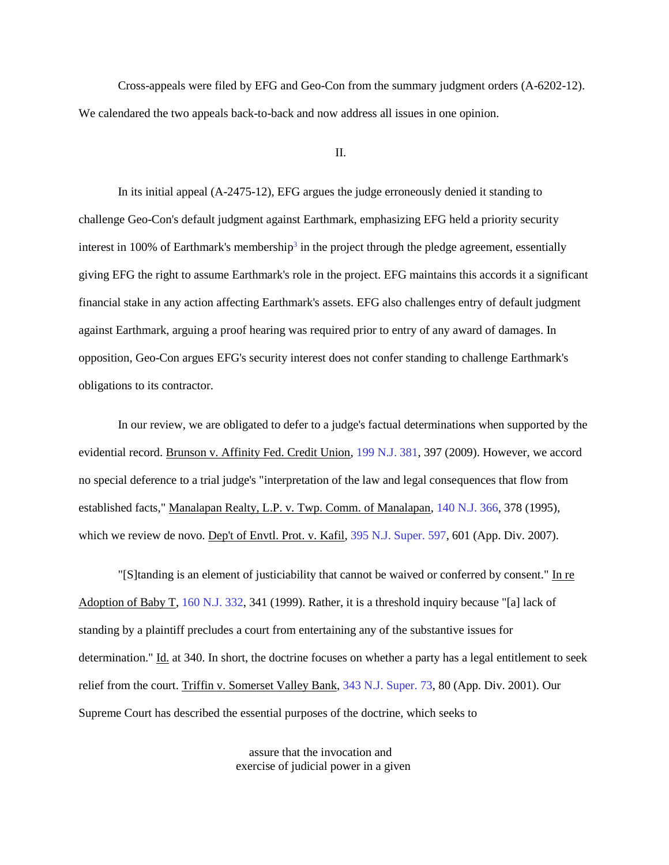Cross-appeals were filed by EFG and Geo-Con from the summary judgment orders (A-6202-12). We calendared the two appeals back-to-back and now address all issues in one opinion.

#### II.

In its initial appeal (A-2475-12), EFG argues the judge erroneously denied it standing to challenge Geo-Con's default judgment against Earthmark, emphasizing EFG held a priority security interest in 100% of Earthmark's membershi[p](http://njlaw.rutgers.edu/collections/courts/appellate/a2475-12.opn.html#sdfootnote3sym)<sup>3</sup> in the project through the pledge agreement, essentially giving EFG the right to assume Earthmark's role in the project. EFG maintains this accords it a significant financial stake in any action affecting Earthmark's assets. EFG also challenges entry of default judgment against Earthmark, arguing a proof hearing was required prior to entry of any award of damages. In opposition, Geo-Con argues EFG's security interest does not confer standing to challenge Earthmark's obligations to its contractor.

In our review, we are obligated to defer to a judge's factual determinations when supported by the evidential record. Brunson v. Affinity Fed. Credit Union, [199 N.J. 381,](http://njlaw.rutgers.edu/cgi-bin/caselink.cgi?cite=199%20N.J.%20381) 397 (2009). However, we accord no special deference to a trial judge's "interpretation of the law and legal consequences that flow from established facts," Manalapan Realty, L.P. v. Twp. Comm. of Manalapan[, 140 N.J. 366,](http://njlaw.rutgers.edu/cgi-bin/caselink.cgi?cite=140%20N.J.%20366) 378 (1995), which we review de novo. Dep't of Envtl. Prot. v. Kafil, [395 N.J. Super. 597,](http://njlaw.rutgers.edu/cgi-bin/caselink.cgi?cite=395%20N.J.Super.%20597) 601 (App. Div. 2007).

"[S]tanding is an element of justiciability that cannot be waived or conferred by consent." In re Adoption of Baby T, [160 N.J. 332,](http://njlaw.rutgers.edu/cgi-bin/caselink.cgi?cite=160%20N.J.%20332) 341 (1999). Rather, it is a threshold inquiry because "[a] lack of standing by a plaintiff precludes a court from entertaining any of the substantive issues for determination." Id. at 340. In short, the doctrine focuses on whether a party has a legal entitlement to seek relief from the court. Triffin v. Somerset Valley Bank, [343 N.J. Super. 73,](http://njlaw.rutgers.edu/cgi-bin/caselink.cgi?cite=343%20N.J.Super.%2073) 80 (App. Div. 2001). Our Supreme Court has described the essential purposes of the doctrine, which seeks to

> assure that the invocation and exercise of judicial power in a given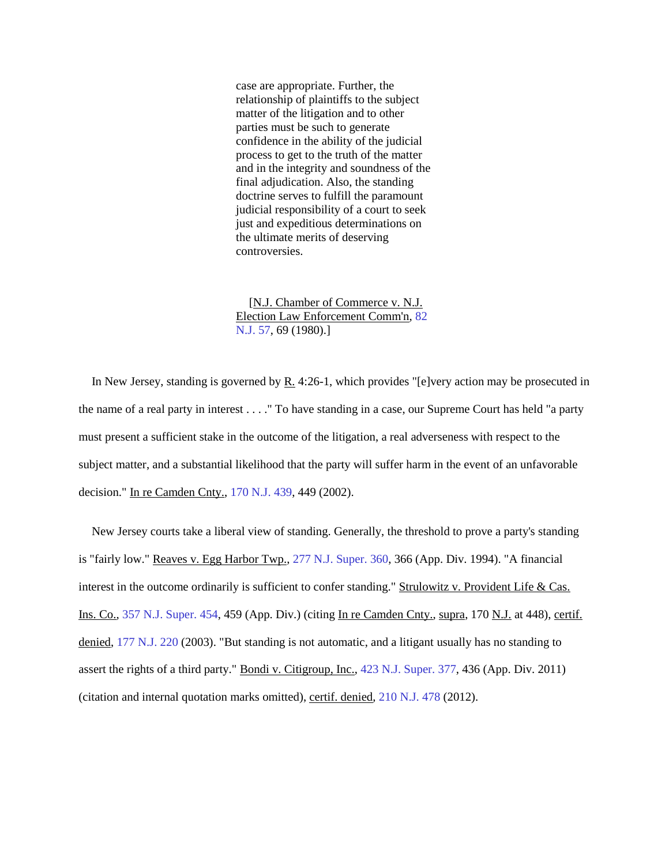case are appropriate. Further, the relationship of plaintiffs to the subject matter of the litigation and to other parties must be such to generate confidence in the ability of the judicial process to get to the truth of the matter and in the integrity and soundness of the final adjudication. Also, the standing doctrine serves to fulfill the paramount judicial responsibility of a court to seek just and expeditious determinations on the ultimate merits of deserving controversies.

[N.J. Chamber of Commerce v. N.J. Election Law Enforcement Comm'n, [82](http://njlaw.rutgers.edu/cgi-bin/caselink.cgi?cite=82%20N.J.%2057)  [N.J. 57,](http://njlaw.rutgers.edu/cgi-bin/caselink.cgi?cite=82%20N.J.%2057) 69 (1980).]

In New Jersey, standing is governed by R. 4:26-1, which provides "[e]very action may be prosecuted in the name of a real party in interest . . . ." To have standing in a case, our Supreme Court has held "a party must present a sufficient stake in the outcome of the litigation, a real adverseness with respect to the subject matter, and a substantial likelihood that the party will suffer harm in the event of an unfavorable decision." In re Camden Cnty., [170 N.J. 439,](http://njlaw.rutgers.edu/cgi-bin/caselink.cgi?cite=170%20N.J.%20439) 449 (2002).

New Jersey courts take a liberal view of standing. Generally, the threshold to prove a party's standing is "fairly low." Reaves v. Egg Harbor Twp., [277 N.J. Super. 360,](http://njlaw.rutgers.edu/cgi-bin/caselink.cgi?cite=277%20N.J.Super.%20360) 366 (App. Div. 1994). "A financial interest in the outcome ordinarily is sufficient to confer standing." Strulowitz v. Provident Life & Cas. Ins. Co., [357 N.J. Super. 454,](http://njlaw.rutgers.edu/cgi-bin/caselink.cgi?cite=357%20N.J.Super.%20454) 459 (App. Div.) (citing In re Camden Cnty., supra, 170 N.J. at 448), certif. denied, [177 N.J. 220](http://njlaw.rutgers.edu/cgi-bin/caselink.cgi?cite=177%20N.J.%20220) (2003). "But standing is not automatic, and a litigant usually has no standing to assert the rights of a third party." Bondi v. Citigroup, Inc., [423 N.J. Super. 377,](http://njlaw.rutgers.edu/cgi-bin/caselink.cgi?cite=423%20N.J.Super.%20377) 436 (App. Div. 2011) (citation and internal quotation marks omitted), certif. denied[, 210 N.J. 478](http://njlaw.rutgers.edu/cgi-bin/caselink.cgi?cite=210%20N.J.%20478) (2012).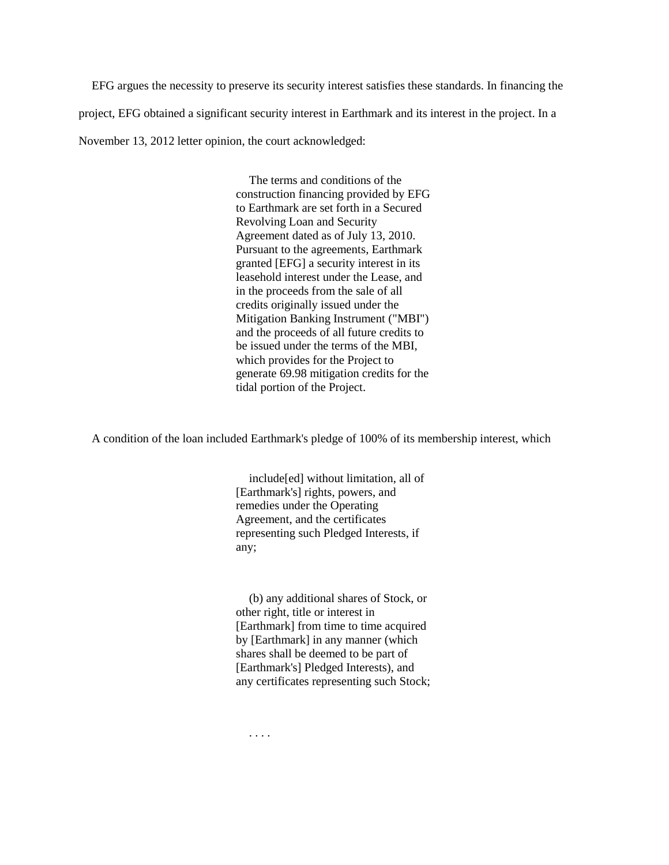EFG argues the necessity to preserve its security interest satisfies these standards. In financing the project, EFG obtained a significant security interest in Earthmark and its interest in the project. In a November 13, 2012 letter opinion, the court acknowledged:

> The terms and conditions of the construction financing provided by EFG to Earthmark are set forth in a Secured Revolving Loan and Security Agreement dated as of July 13, 2010. Pursuant to the agreements, Earthmark granted [EFG] a security interest in its leasehold interest under the Lease, and in the proceeds from the sale of all credits originally issued under the Mitigation Banking Instrument ("MBI") and the proceeds of all future credits to be issued under the terms of the MBI, which provides for the Project to generate 69.98 mitigation credits for the tidal portion of the Project.

A condition of the loan included Earthmark's pledge of 100% of its membership interest, which

include[ed] without limitation, all of [Earthmark's] rights, powers, and remedies under the Operating Agreement, and the certificates representing such Pledged Interests, if any;

(b) any additional shares of Stock, or other right, title or interest in [Earthmark] from time to time acquired by [Earthmark] in any manner (which shares shall be deemed to be part of [Earthmark's] Pledged Interests), and any certificates representing such Stock;

. . . .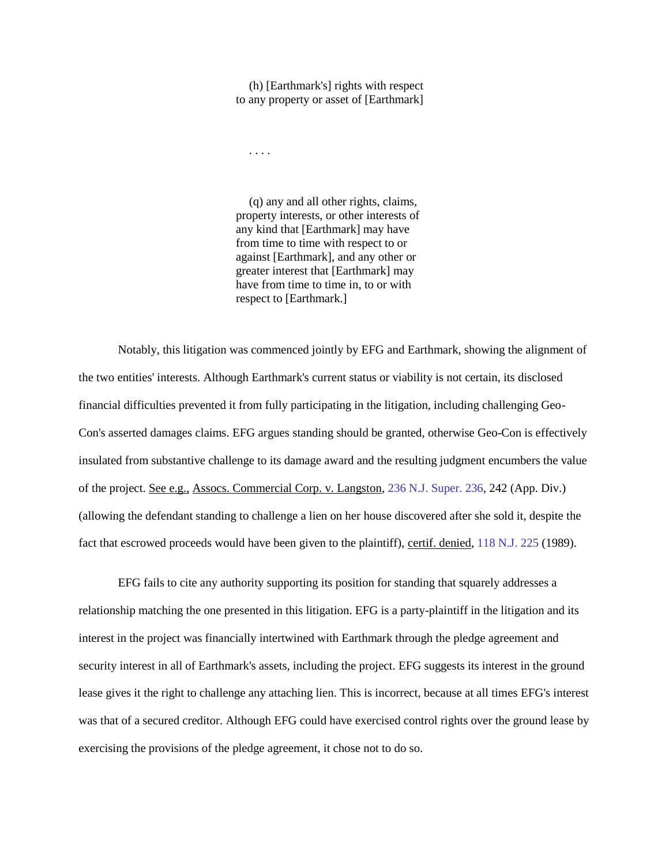(h) [Earthmark's] rights with respect to any property or asset of [Earthmark]

. . . .

(q) any and all other rights, claims, property interests, or other interests of any kind that [Earthmark] may have from time to time with respect to or against [Earthmark], and any other or greater interest that [Earthmark] may have from time to time in, to or with respect to [Earthmark.]

Notably, this litigation was commenced jointly by EFG and Earthmark, showing the alignment of the two entities' interests. Although Earthmark's current status or viability is not certain, its disclosed financial difficulties prevented it from fully participating in the litigation, including challenging Geo-Con's asserted damages claims. EFG argues standing should be granted, otherwise Geo-Con is effectively insulated from substantive challenge to its damage award and the resulting judgment encumbers the value of the project. See e.g., Assocs. Commercial Corp. v. Langston, [236 N.J. Super. 236,](http://njlaw.rutgers.edu/cgi-bin/caselink.cgi?cite=236%20N.J.Super.%20236) 242 (App. Div.) (allowing the defendant standing to challenge a lien on her house discovered after she sold it, despite the fact that escrowed proceeds would have been given to the plaintiff), certif. denied[, 118 N.J. 225](http://njlaw.rutgers.edu/cgi-bin/caselink.cgi?cite=118%20N.J.%20225) (1989).

EFG fails to cite any authority supporting its position for standing that squarely addresses a relationship matching the one presented in this litigation. EFG is a party-plaintiff in the litigation and its interest in the project was financially intertwined with Earthmark through the pledge agreement and security interest in all of Earthmark's assets, including the project. EFG suggests its interest in the ground lease gives it the right to challenge any attaching lien. This is incorrect, because at all times EFG's interest was that of a secured creditor. Although EFG could have exercised control rights over the ground lease by exercising the provisions of the pledge agreement, it chose not to do so.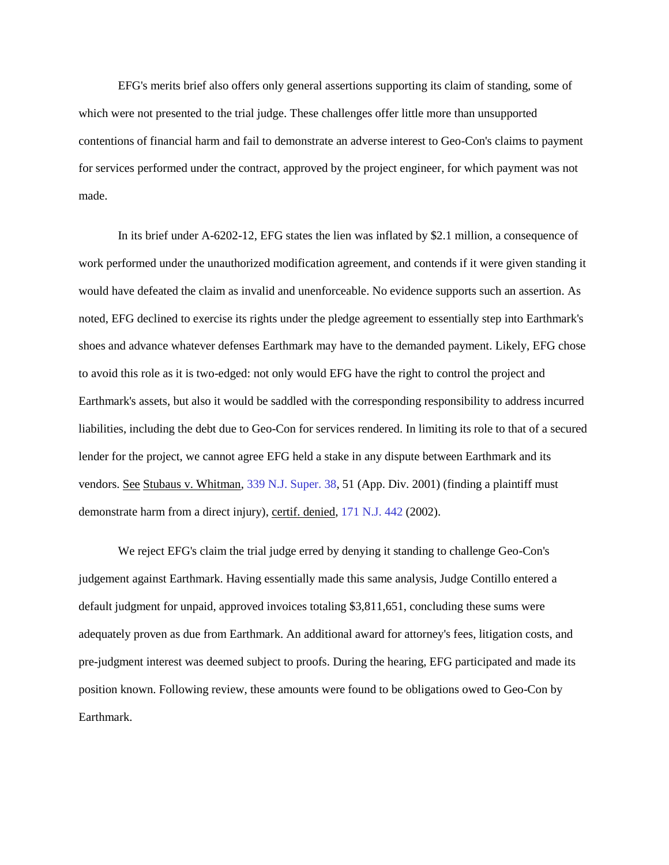EFG's merits brief also offers only general assertions supporting its claim of standing, some of which were not presented to the trial judge. These challenges offer little more than unsupported contentions of financial harm and fail to demonstrate an adverse interest to Geo-Con's claims to payment for services performed under the contract, approved by the project engineer, for which payment was not made.

In its brief under A-6202-12, EFG states the lien was inflated by \$2.1 million, a consequence of work performed under the unauthorized modification agreement, and contends if it were given standing it would have defeated the claim as invalid and unenforceable. No evidence supports such an assertion. As noted, EFG declined to exercise its rights under the pledge agreement to essentially step into Earthmark's shoes and advance whatever defenses Earthmark may have to the demanded payment. Likely, EFG chose to avoid this role as it is two-edged: not only would EFG have the right to control the project and Earthmark's assets, but also it would be saddled with the corresponding responsibility to address incurred liabilities, including the debt due to Geo-Con for services rendered. In limiting its role to that of a secured lender for the project, we cannot agree EFG held a stake in any dispute between Earthmark and its vendors. See Stubaus v. Whitman, [339 N.J. Super. 38,](http://njlaw.rutgers.edu/cgi-bin/caselink.cgi?cite=339%20N.J.Super.%2038) 51 (App. Div. 2001) (finding a plaintiff must demonstrate harm from a direct injury), certif. denied, [171 N.J. 442](http://njlaw.rutgers.edu/cgi-bin/caselink.cgi?cite=171%20N.J.%20442) (2002).

We reject EFG's claim the trial judge erred by denying it standing to challenge Geo-Con's judgement against Earthmark. Having essentially made this same analysis, Judge Contillo entered a default judgment for unpaid, approved invoices totaling \$3,811,651, concluding these sums were adequately proven as due from Earthmark. An additional award for attorney's fees, litigation costs, and pre-judgment interest was deemed subject to proofs. During the hearing, EFG participated and made its position known. Following review, these amounts were found to be obligations owed to Geo-Con by Earthmark.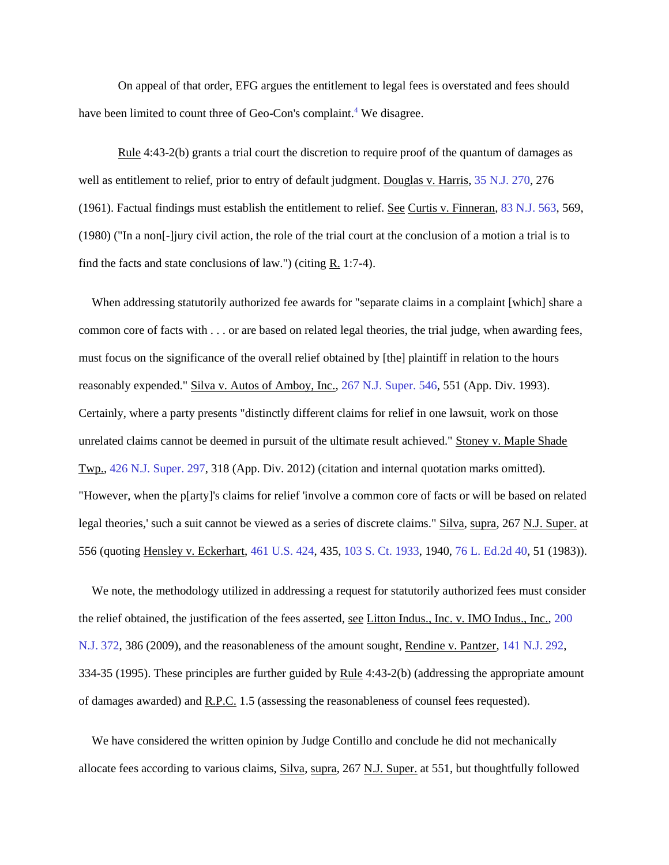On appeal of that order, EFG argues the entitlement to legal fees is overstated and fees should have been limited to count three of Geo-Con's complaint[.](http://njlaw.rutgers.edu/collections/courts/appellate/a2475-12.opn.html#sdfootnote4sym)<sup>4</sup> We disagree.

Rule 4:43-2(b) grants a trial court the discretion to require proof of the quantum of damages as well as entitlement to relief, prior to entry of default judgment. Douglas v. Harris, [35 N.J. 270,](http://njlaw.rutgers.edu/cgi-bin/caselink.cgi?cite=35%20N.J.%20270) 276 (1961). Factual findings must establish the entitlement to relief. See Curtis v. Finneran, [83 N.J. 563,](http://njlaw.rutgers.edu/cgi-bin/caselink.cgi?cite=83%20N.J.%20563) 569, (1980) ("In a non[-]jury civil action, the role of the trial court at the conclusion of a motion a trial is to find the facts and state conclusions of law.") (citing  $R$ , 1:7-4).

When addressing statutorily authorized fee awards for "separate claims in a complaint [which] share a common core of facts with . . . or are based on related legal theories, the trial judge, when awarding fees, must focus on the significance of the overall relief obtained by [the] plaintiff in relation to the hours reasonably expended." Silva v. Autos of Amboy, Inc., [267 N.J. Super. 546,](http://njlaw.rutgers.edu/cgi-bin/caselink.cgi?cite=267%20N.J.Super.%20546) 551 (App. Div. 1993). Certainly, where a party presents "distinctly different claims for relief in one lawsuit, work on those unrelated claims cannot be deemed in pursuit of the ultimate result achieved." Stoney v. Maple Shade Twp., [426 N.J. Super. 297,](http://njlaw.rutgers.edu/cgi-bin/caselink.cgi?cite=426%20N.J.Super.%20297) 318 (App. Div. 2012) (citation and internal quotation marks omitted). "However, when the p[arty]'s claims for relief 'involve a common core of facts or will be based on related legal theories,' such a suit cannot be viewed as a series of discrete claims." Silva, supra, 267 N.J. Super. at 556 (quoting Hensley v. Eckerhart, [461 U.S. 424,](http://njlaw.rutgers.edu/cgi-bin/caselink.cgi?cite=461%20U.S.%20424) 435, [103 S. Ct. 1933,](http://njlaw.rutgers.edu/cgi-bin/caselink.cgi?cite=103%20S.Ct.%201933) 1940[, 76 L. Ed.2d 40,](http://njlaw.rutgers.edu/cgi-bin/caselink.cgi?cite=76%20L.Ed.2d%2040) 51 (1983)).

We note, the methodology utilized in addressing a request for statutorily authorized fees must consider the relief obtained, the justification of the fees asserted, see Litton Indus., Inc. v. IMO Indus., Inc., [200](http://njlaw.rutgers.edu/cgi-bin/caselink.cgi?cite=200%20N.J.%20372)  [N.J. 372,](http://njlaw.rutgers.edu/cgi-bin/caselink.cgi?cite=200%20N.J.%20372) 386 (2009), and the reasonableness of the amount sought, Rendine v. Pantzer[, 141 N.J. 292,](http://njlaw.rutgers.edu/cgi-bin/caselink.cgi?cite=141%20N.J.%20292) 334-35 (1995). These principles are further guided by Rule 4:43-2(b) (addressing the appropriate amount of damages awarded) and R.P.C. 1.5 (assessing the reasonableness of counsel fees requested).

We have considered the written opinion by Judge Contillo and conclude he did not mechanically allocate fees according to various claims, Silva, supra, 267 N.J. Super. at 551, but thoughtfully followed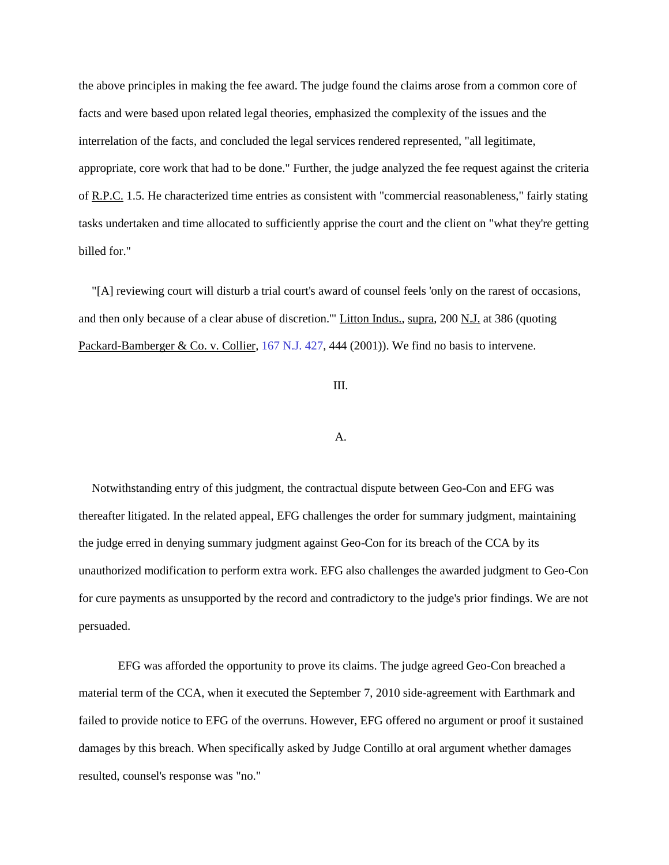the above principles in making the fee award. The judge found the claims arose from a common core of facts and were based upon related legal theories, emphasized the complexity of the issues and the interrelation of the facts, and concluded the legal services rendered represented, "all legitimate, appropriate, core work that had to be done." Further, the judge analyzed the fee request against the criteria of R.P.C. 1.5. He characterized time entries as consistent with "commercial reasonableness," fairly stating tasks undertaken and time allocated to sufficiently apprise the court and the client on "what they're getting billed for."

"[A] reviewing court will disturb a trial court's award of counsel feels 'only on the rarest of occasions, and then only because of a clear abuse of discretion.'" Litton Indus., supra, 200 N.J. at 386 (quoting Packard-Bamberger & Co. v. Collier, [167 N.J. 427,](http://njlaw.rutgers.edu/cgi-bin/caselink.cgi?cite=167%20N.J.%20427) 444 (2001)). We find no basis to intervene.

### III.

### A.

Notwithstanding entry of this judgment, the contractual dispute between Geo-Con and EFG was thereafter litigated. In the related appeal, EFG challenges the order for summary judgment, maintaining the judge erred in denying summary judgment against Geo-Con for its breach of the CCA by its unauthorized modification to perform extra work. EFG also challenges the awarded judgment to Geo-Con for cure payments as unsupported by the record and contradictory to the judge's prior findings. We are not persuaded.

EFG was afforded the opportunity to prove its claims. The judge agreed Geo-Con breached a material term of the CCA, when it executed the September 7, 2010 side-agreement with Earthmark and failed to provide notice to EFG of the overruns. However, EFG offered no argument or proof it sustained damages by this breach. When specifically asked by Judge Contillo at oral argument whether damages resulted, counsel's response was "no."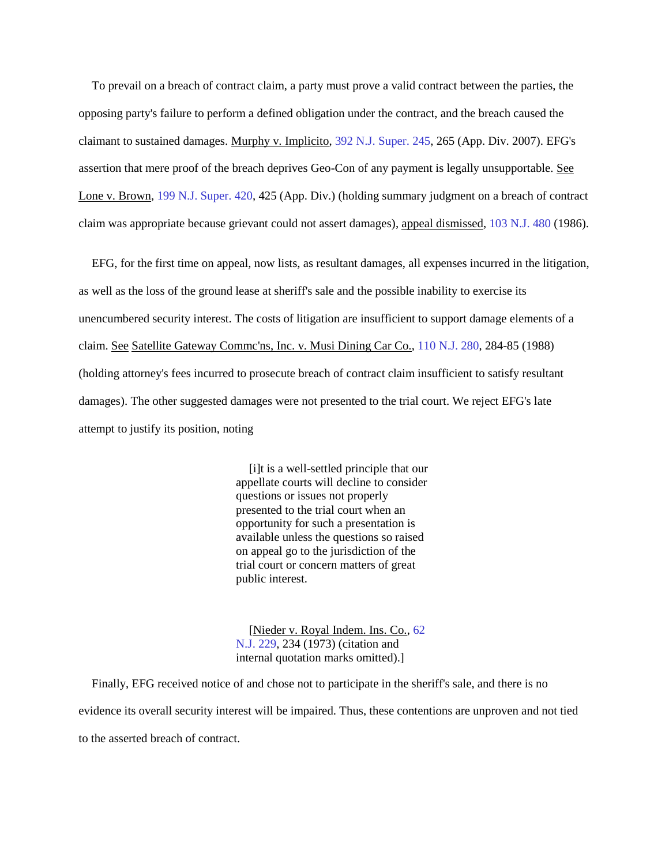To prevail on a breach of contract claim, a party must prove a valid contract between the parties, the opposing party's failure to perform a defined obligation under the contract, and the breach caused the claimant to sustained damages. Murphy v. Implicito[, 392 N.J. Super. 245,](http://njlaw.rutgers.edu/cgi-bin/caselink.cgi?cite=392%20N.J.Super.%20245) 265 (App. Div. 2007). EFG's assertion that mere proof of the breach deprives Geo-Con of any payment is legally unsupportable. See Lone v. Brown, [199 N.J. Super. 420,](http://njlaw.rutgers.edu/cgi-bin/caselink.cgi?cite=199%20N.J.Super.%20420) 425 (App. Div.) (holding summary judgment on a breach of contract claim was appropriate because grievant could not assert damages), appeal dismissed, [103 N.J. 480](http://njlaw.rutgers.edu/cgi-bin/caselink.cgi?cite=103%20N.J.%20480) (1986).

EFG, for the first time on appeal, now lists, as resultant damages, all expenses incurred in the litigation, as well as the loss of the ground lease at sheriff's sale and the possible inability to exercise its unencumbered security interest. The costs of litigation are insufficient to support damage elements of a claim. See Satellite Gateway Commc'ns, Inc. v. Musi Dining Car Co., [110 N.J. 280,](http://njlaw.rutgers.edu/cgi-bin/caselink.cgi?cite=110%20N.J.%20280) 284-85 (1988) (holding attorney's fees incurred to prosecute breach of contract claim insufficient to satisfy resultant damages). The other suggested damages were not presented to the trial court. We reject EFG's late attempt to justify its position, noting

> [i]t is a well-settled principle that our appellate courts will decline to consider questions or issues not properly presented to the trial court when an opportunity for such a presentation is available unless the questions so raised on appeal go to the jurisdiction of the trial court or concern matters of great public interest.

[Nieder v. Royal Indem. Ins. Co., [62](http://njlaw.rutgers.edu/cgi-bin/caselink.cgi?cite=62%20N.J.%20229)  [N.J. 229,](http://njlaw.rutgers.edu/cgi-bin/caselink.cgi?cite=62%20N.J.%20229) 234 (1973) (citation and internal quotation marks omitted).]

Finally, EFG received notice of and chose not to participate in the sheriff's sale, and there is no evidence its overall security interest will be impaired. Thus, these contentions are unproven and not tied to the asserted breach of contract.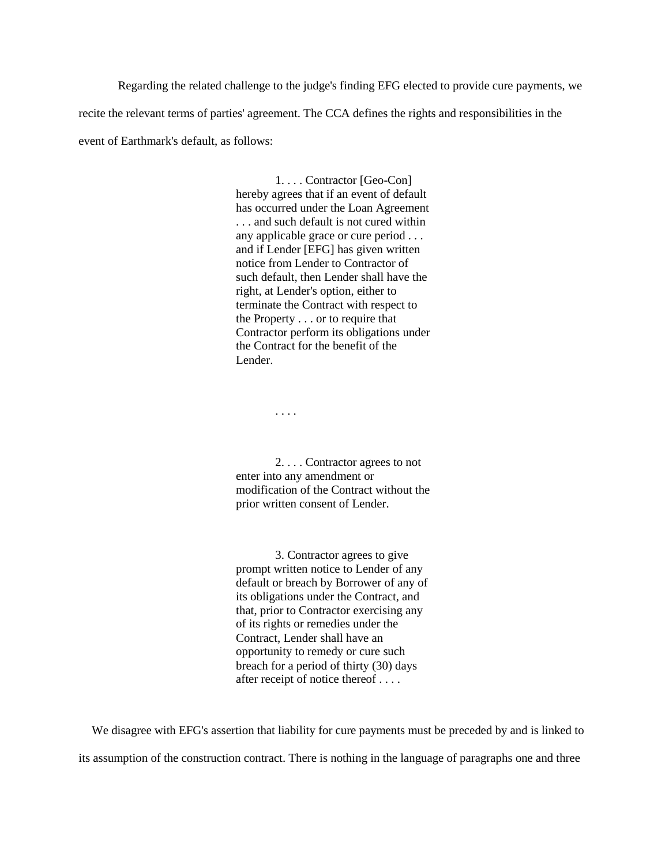Regarding the related challenge to the judge's finding EFG elected to provide cure payments, we recite the relevant terms of parties' agreement. The CCA defines the rights and responsibilities in the event of Earthmark's default, as follows:

> 1. . . . Contractor [Geo-Con] hereby agrees that if an event of default has occurred under the Loan Agreement . . . and such default is not cured within any applicable grace or cure period . . . and if Lender [EFG] has given written notice from Lender to Contractor of such default, then Lender shall have the right, at Lender's option, either to terminate the Contract with respect to the Property . . . or to require that Contractor perform its obligations under the Contract for the benefit of the Lender.

> > . . . .

2. . . . Contractor agrees to not enter into any amendment or modification of the Contract without the prior written consent of Lender.

3. Contractor agrees to give prompt written notice to Lender of any default or breach by Borrower of any of its obligations under the Contract, and that, prior to Contractor exercising any of its rights or remedies under the Contract, Lender shall have an opportunity to remedy or cure such breach for a period of thirty (30) days after receipt of notice thereof . . . .

We disagree with EFG's assertion that liability for cure payments must be preceded by and is linked to its assumption of the construction contract. There is nothing in the language of paragraphs one and three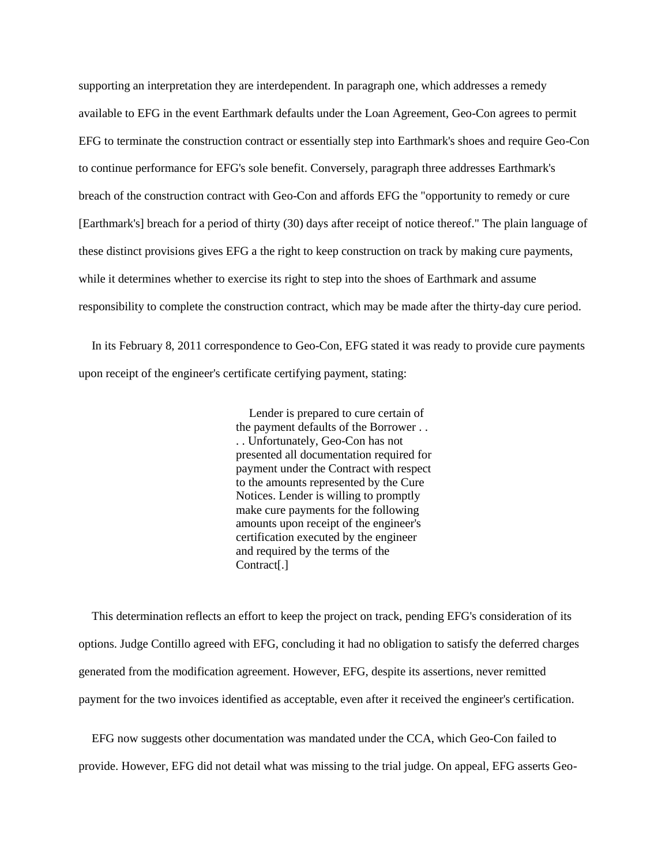supporting an interpretation they are interdependent. In paragraph one, which addresses a remedy available to EFG in the event Earthmark defaults under the Loan Agreement, Geo-Con agrees to permit EFG to terminate the construction contract or essentially step into Earthmark's shoes and require Geo-Con to continue performance for EFG's sole benefit. Conversely, paragraph three addresses Earthmark's breach of the construction contract with Geo-Con and affords EFG the "opportunity to remedy or cure [Earthmark's] breach for a period of thirty (30) days after receipt of notice thereof." The plain language of these distinct provisions gives EFG a the right to keep construction on track by making cure payments, while it determines whether to exercise its right to step into the shoes of Earthmark and assume responsibility to complete the construction contract, which may be made after the thirty-day cure period.

In its February 8, 2011 correspondence to Geo-Con, EFG stated it was ready to provide cure payments upon receipt of the engineer's certificate certifying payment, stating:

> Lender is prepared to cure certain of the payment defaults of the Borrower . . . . Unfortunately, Geo-Con has not presented all documentation required for payment under the Contract with respect to the amounts represented by the Cure Notices. Lender is willing to promptly make cure payments for the following amounts upon receipt of the engineer's certification executed by the engineer and required by the terms of the Contract[.]

This determination reflects an effort to keep the project on track, pending EFG's consideration of its options. Judge Contillo agreed with EFG, concluding it had no obligation to satisfy the deferred charges generated from the modification agreement. However, EFG, despite its assertions, never remitted payment for the two invoices identified as acceptable, even after it received the engineer's certification.

EFG now suggests other documentation was mandated under the CCA, which Geo-Con failed to provide. However, EFG did not detail what was missing to the trial judge. On appeal, EFG asserts Geo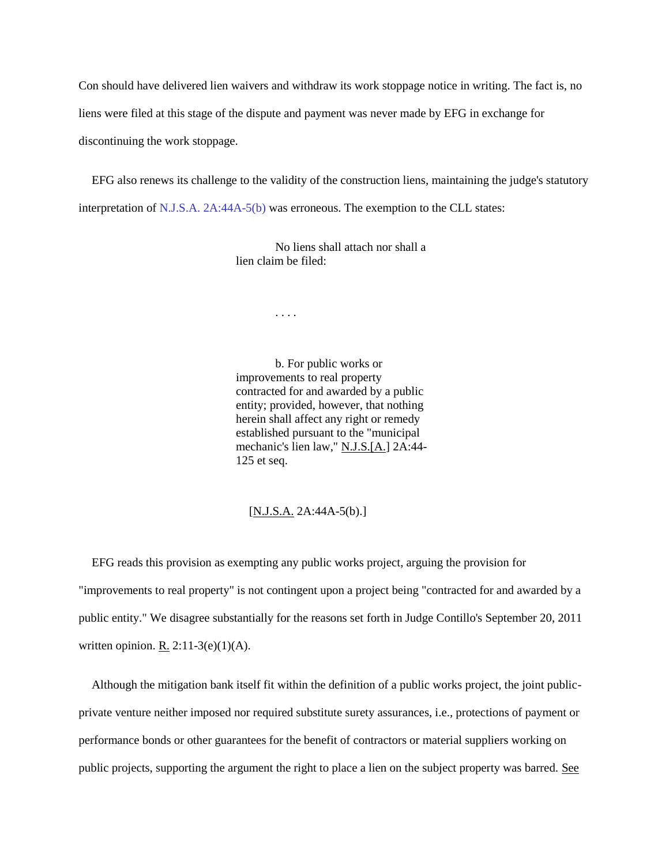Con should have delivered lien waivers and withdraw its work stoppage notice in writing. The fact is, no liens were filed at this stage of the dispute and payment was never made by EFG in exchange for discontinuing the work stoppage.

EFG also renews its challenge to the validity of the construction liens, maintaining the judge's statutory interpretation of [N.J.S.A.](http://njlaw.rutgers.edu/cgi-bin/njstats/showsect.cgi?title=2A&chapter=44A§ion=5&actn=getsect) [2A:44A-5\(b\) w](http://njlaw.rutgers.edu/cgi-bin/njstats/showsect.cgi?title=2A&chapter=44A§ion=5&actn=getsect)as erroneous. The exemption to the CLL states:

> No liens shall attach nor shall a lien claim be filed:

> > . . . .

b. For public works or improvements to real property contracted for and awarded by a public entity; provided, however, that nothing herein shall affect any right or remedy established pursuant to the "municipal mechanic's lien law," N.J.S.[A.] 2A:44- 125 et seq.

[N.J.S.A. 2A:44A-5(b).]

EFG reads this provision as exempting any public works project, arguing the provision for "improvements to real property" is not contingent upon a project being "contracted for and awarded by a public entity." We disagree substantially for the reasons set forth in Judge Contillo's September 20, 2011 written opinion. R.  $2:11-3(e)(1)(A)$ .

Although the mitigation bank itself fit within the definition of a public works project, the joint publicprivate venture neither imposed nor required substitute surety assurances, i.e., protections of payment or performance bonds or other guarantees for the benefit of contractors or material suppliers working on public projects, supporting the argument the right to place a lien on the subject property was barred. See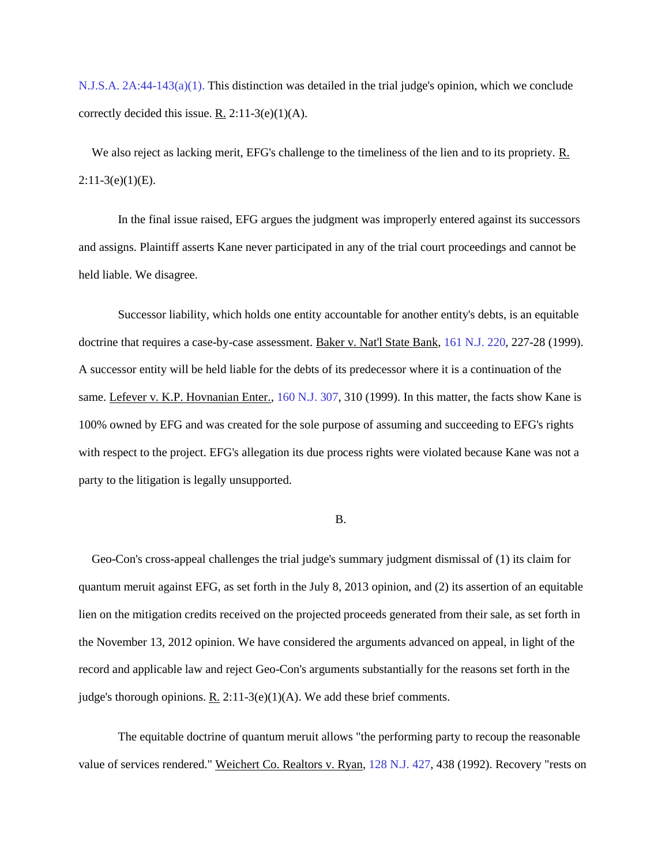[N.J.S.A.](http://njlaw.rutgers.edu/cgi-bin/njstats/showsect.cgi?title=2A&chapter=44§ion=143&actn=getsect) [2A:44-143\(a\)\(1\). T](http://njlaw.rutgers.edu/cgi-bin/njstats/showsect.cgi?title=2A&chapter=44§ion=143&actn=getsect)his distinction was detailed in the trial judge's opinion, which we conclude correctly decided this issue. R.  $2:11-3(e)(1)(A)$ .

We also reject as lacking merit, EFG's challenge to the timeliness of the lien and to its propriety. R.  $2:11-3(e)(1)(E)$ .

In the final issue raised, EFG argues the judgment was improperly entered against its successors and assigns. Plaintiff asserts Kane never participated in any of the trial court proceedings and cannot be held liable. We disagree.

Successor liability, which holds one entity accountable for another entity's debts, is an equitable doctrine that requires a case-by-case assessment. Baker v. Nat'l State Bank, [161 N.J. 220,](http://njlaw.rutgers.edu/cgi-bin/caselink.cgi?cite=161%20N.J.%20220) 227-28 (1999). A successor entity will be held liable for the debts of its predecessor where it is a continuation of the same. Lefever v. K.P. Hovnanian Enter., [160 N.J. 307,](http://njlaw.rutgers.edu/cgi-bin/caselink.cgi?cite=160%20N.J.%20307) 310 (1999). In this matter, the facts show Kane is 100% owned by EFG and was created for the sole purpose of assuming and succeeding to EFG's rights with respect to the project. EFG's allegation its due process rights were violated because Kane was not a party to the litigation is legally unsupported.

#### B.

Geo-Con's cross-appeal challenges the trial judge's summary judgment dismissal of (1) its claim for quantum meruit against EFG, as set forth in the July 8, 2013 opinion, and (2) its assertion of an equitable lien on the mitigation credits received on the projected proceeds generated from their sale, as set forth in the November 13, 2012 opinion. We have considered the arguments advanced on appeal, in light of the record and applicable law and reject Geo-Con's arguments substantially for the reasons set forth in the judge's thorough opinions. R. 2:11-3(e)(1)(A). We add these brief comments.

The equitable doctrine of quantum meruit allows "the performing party to recoup the reasonable value of services rendered." Weichert Co. Realtors v. Ryan, [128 N.J. 427,](http://njlaw.rutgers.edu/cgi-bin/caselink.cgi?cite=128%20N.J.%20427) 438 (1992). Recovery "rests on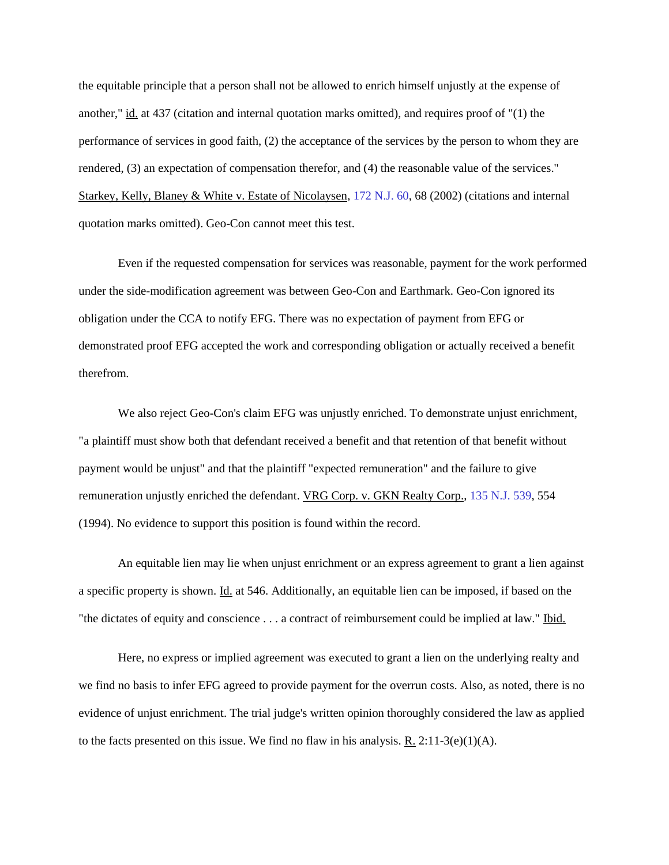the equitable principle that a person shall not be allowed to enrich himself unjustly at the expense of another," id. at 437 (citation and internal quotation marks omitted), and requires proof of "(1) the performance of services in good faith, (2) the acceptance of the services by the person to whom they are rendered, (3) an expectation of compensation therefor, and (4) the reasonable value of the services." Starkey, Kelly, Blaney & White v. Estate of Nicolaysen, [172 N.J. 60,](http://njlaw.rutgers.edu/cgi-bin/caselink.cgi?cite=172%20N.J.%2060) 68 (2002) (citations and internal quotation marks omitted). Geo-Con cannot meet this test.

Even if the requested compensation for services was reasonable, payment for the work performed under the side-modification agreement was between Geo-Con and Earthmark. Geo-Con ignored its obligation under the CCA to notify EFG. There was no expectation of payment from EFG or demonstrated proof EFG accepted the work and corresponding obligation or actually received a benefit therefrom.

We also reject Geo-Con's claim EFG was unjustly enriched. To demonstrate unjust enrichment, "a plaintiff must show both that defendant received a benefit and that retention of that benefit without payment would be unjust" and that the plaintiff "expected remuneration" and the failure to give remuneration unjustly enriched the defendant. VRG Corp. v. GKN Realty Corp., [135 N.J. 539,](http://njlaw.rutgers.edu/cgi-bin/caselink.cgi?cite=135%20N.J.%20539) 554 (1994). No evidence to support this position is found within the record.

An equitable lien may lie when unjust enrichment or an express agreement to grant a lien against a specific property is shown. Id. at 546. Additionally, an equitable lien can be imposed, if based on the "the dictates of equity and conscience . . . a contract of reimbursement could be implied at law." Ibid.

Here, no express or implied agreement was executed to grant a lien on the underlying realty and we find no basis to infer EFG agreed to provide payment for the overrun costs. Also, as noted, there is no evidence of unjust enrichment. The trial judge's written opinion thoroughly considered the law as applied to the facts presented on this issue. We find no flaw in his analysis. R. 2:11-3(e)(1)(A).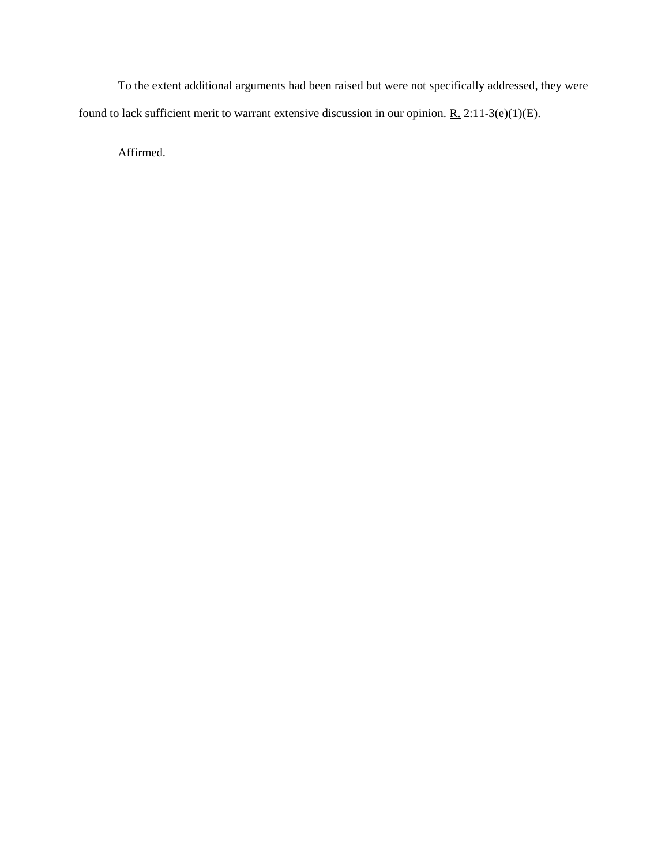To the extent additional arguments had been raised but were not specifically addressed, they were found to lack sufficient merit to warrant extensive discussion in our opinion. R.  $2:11-3(e)(1)(E)$ .

Affirmed.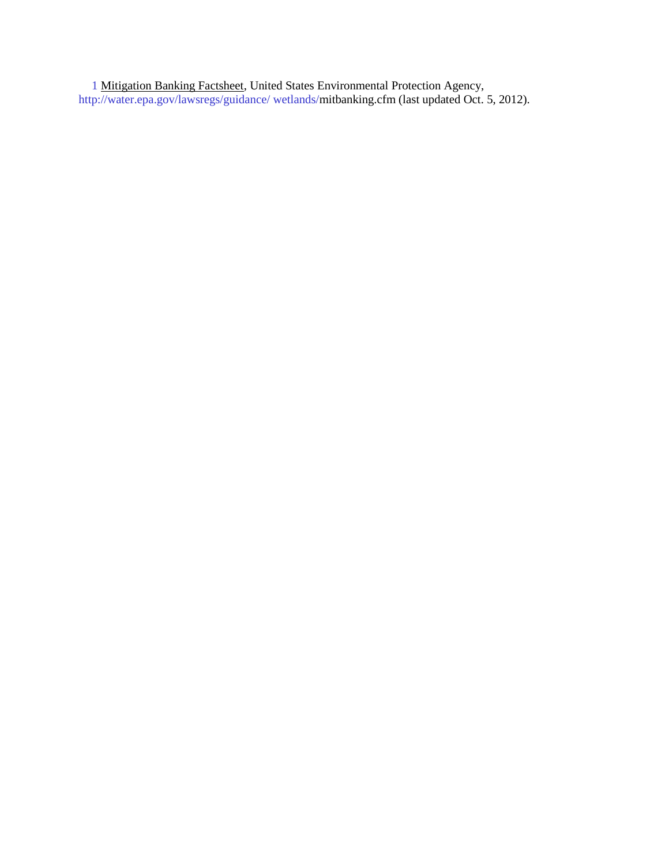[1](http://njlaw.rutgers.edu/collections/courts/appellate/a2475-12.opn.html#sdfootnote1anc) Mitigation Banking Factsheet, United States Environmental Protection Agency, [http://water.epa.gov/lawsregs/guidance/ wetlands/m](http://water.epa.gov/lawsregs/guidance/%20wetlands/)itbanking.cfm (last updated Oct. 5, 2012).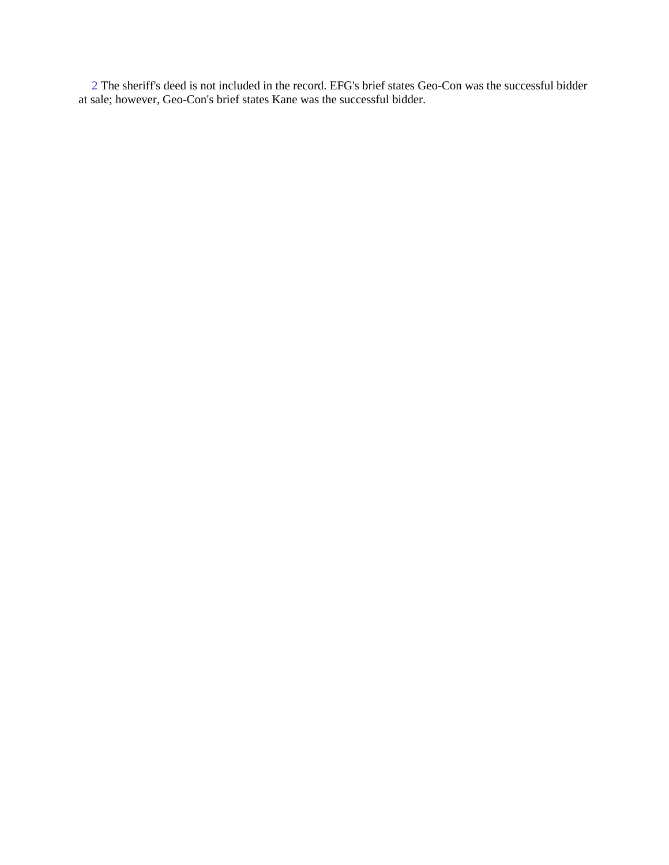[2](http://njlaw.rutgers.edu/collections/courts/appellate/a2475-12.opn.html#sdfootnote2anc) The sheriff's deed is not included in the record. EFG's brief states Geo-Con was the successful bidder at sale; however, Geo-Con's brief states Kane was the successful bidder.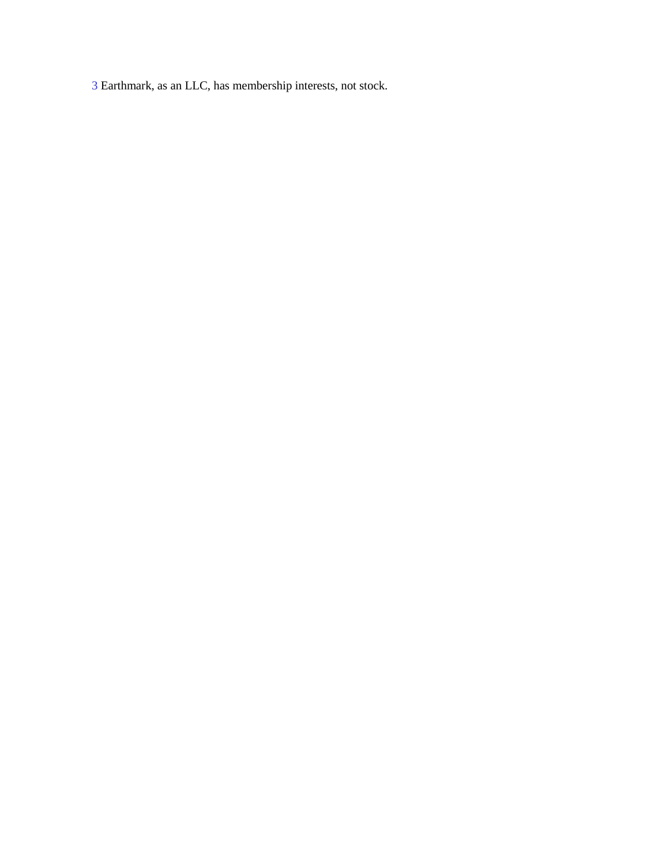Earthmark, as an LLC, has membership interests, not stock.